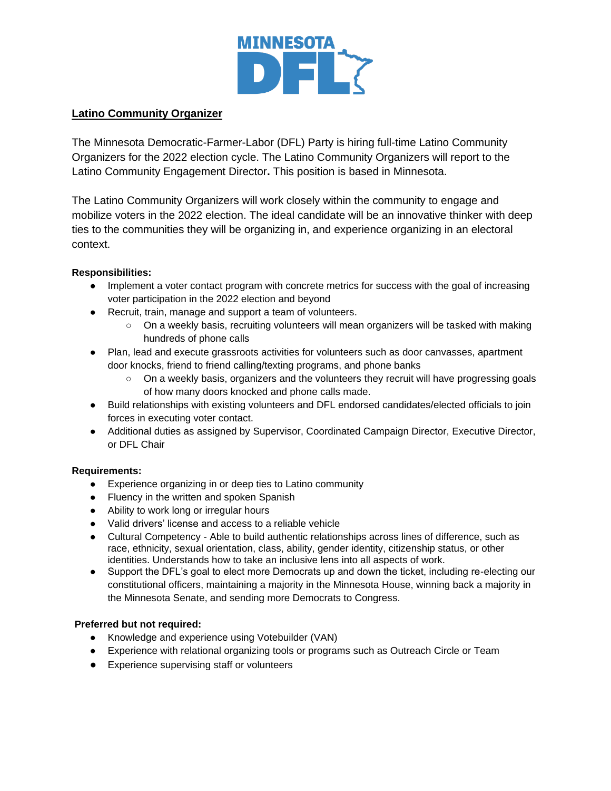

## **Latino Community Organizer**

The Minnesota Democratic-Farmer-Labor (DFL) Party is hiring full-time Latino Community Organizers for the 2022 election cycle. The Latino Community Organizers will report to the Latino Community Engagement Director**.** This position is based in Minnesota.

The Latino Community Organizers will work closely within the community to engage and mobilize voters in the 2022 election. The ideal candidate will be an innovative thinker with deep ties to the communities they will be organizing in, and experience organizing in an electoral context.

### **Responsibilities:**

- Implement a voter contact program with concrete metrics for success with the goal of increasing voter participation in the 2022 election and beyond
- Recruit, train, manage and support a team of volunteers.
	- On a weekly basis, recruiting volunteers will mean organizers will be tasked with making hundreds of phone calls
- Plan, lead and execute grassroots activities for volunteers such as door canvasses, apartment door knocks, friend to friend calling/texting programs, and phone banks
	- On a weekly basis, organizers and the volunteers they recruit will have progressing goals of how many doors knocked and phone calls made.
- Build relationships with existing volunteers and DFL endorsed candidates/elected officials to join forces in executing voter contact.
- Additional duties as assigned by Supervisor, Coordinated Campaign Director, Executive Director, or DFL Chair

#### **Requirements:**

- Experience organizing in or deep ties to Latino community
- Fluency in the written and spoken Spanish
- Ability to work long or irregular hours
- Valid drivers' license and access to a reliable vehicle
- Cultural Competency Able to build authentic relationships across lines of difference, such as race, ethnicity, sexual orientation, class, ability, gender identity, citizenship status, or other identities. Understands how to take an inclusive lens into all aspects of work.
- Support the DFL's goal to elect more Democrats up and down the ticket, including re-electing our constitutional officers, maintaining a majority in the Minnesota House, winning back a majority in the Minnesota Senate, and sending more Democrats to Congress.

#### **Preferred but not required:**

- Knowledge and experience using Votebuilder (VAN)
- Experience with relational organizing tools or programs such as Outreach Circle or Team
- Experience supervising staff or volunteers